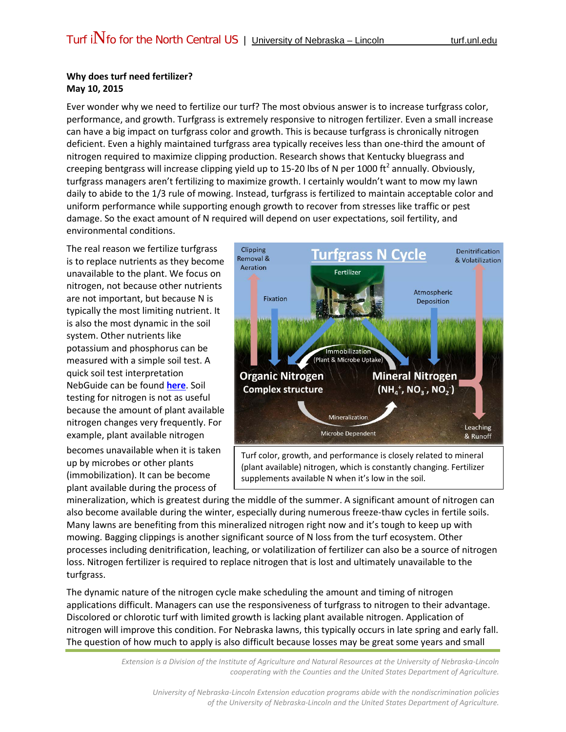## **Why does turf need fertilizer? May 10, 2015**

Ever wonder why we need to fertilize our turf? The most obvious answer is to increase turfgrass color, performance, and growth. Turfgrass is extremely responsive to nitrogen fertilizer. Even a small increase can have a big impact on turfgrass color and growth. This is because turfgrass is chronically nitrogen deficient. Even a highly maintained turfgrass area typically receives less than one-third the amount of nitrogen required to maximize clipping production. Research shows that Kentucky bluegrass and creeping bentgrass will increase clipping yield up to 15-20 lbs of N per 1000 ft<sup>2</sup> annually. Obviously, turfgrass managers aren't fertilizing to maximize growth. I certainly wouldn't want to mow my lawn daily to abide to the 1/3 rule of mowing. Instead, turfgrass is fertilized to maintain acceptable color and uniform performance while supporting enough growth to recover from stresses like traffic or pest damage. So the exact amount of N required will depend on user expectations, soil fertility, and environmental conditions.

The real reason we fertilize turfgrass is to replace nutrients as they become unavailable to the plant. We focus on nitrogen, not because other nutrients are not important, but because N is typically the most limiting nutrient. It is also the most dynamic in the soil system. Other nutrients like potassium and phosphorus can be measured with a simple soil test. A quick soil test interpretation NebGuide can be found **[here](http://turf.unl.edu/NebGuides/g2265.pdf)**. Soil testing for nitrogen is not as useful because the amount of plant available nitrogen changes very frequently. For example, plant available nitrogen

becomes unavailable when it is taken up by microbes or other plants (immobilization). It can be become plant available during the process of



Turf color, growth, and performance is closely related to mineral (plant available) nitrogen, which is constantly changing. Fertilizer supplements available N when it's low in the soil.

mineralization, which is greatest during the middle of the summer. A significant amount of nitrogen can also become available during the winter, especially during numerous freeze-thaw cycles in fertile soils. Many lawns are benefiting from this mineralized nitrogen right now and it's tough to keep up with mowing. Bagging clippings is another significant source of N loss from the turf ecosystem. Other processes including denitrification, leaching, or volatilization of fertilizer can also be a source of nitrogen loss. Nitrogen fertilizer is required to replace nitrogen that is lost and ultimately unavailable to the turfgrass.

The dynamic nature of the nitrogen cycle make scheduling the amount and timing of nitrogen applications difficult. Managers can use the responsiveness of turfgrass to nitrogen to their advantage. Discolored or chlorotic turf with limited growth is lacking plant available nitrogen. Application of nitrogen will improve this condition. For Nebraska lawns, this typically occurs in late spring and early fall. The question of how much to apply is also difficult because losses may be great some years and small

> *Extension is a Division of the Institute of Agriculture and Natural Resources at the University of Nebraska-Lincoln cooperating with the Counties and the United States Department of Agriculture.*

*University of Nebraska-Lincoln Extension education programs abide with the nondiscrimination policies of the University of Nebraska-Lincoln and the United States Department of Agriculture.*